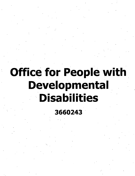# **Office for People with Developmental Disabilities**

**3660243**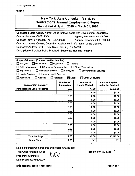# **FORM B**

# New York State Consultant Services **Contractor's Annual Employment Report**

Report Period: April 1,2019 to March 31, 2020

| Contracting State Agency Name: Office for the People with Development Disablilites<br>Contract Number: C00322GG<br><b>Agency Business Unit: OPD01</b><br>Contract Term: 07/01/2019 to 12/31/2023<br>Agency Department ID: 3660243<br>Contractor Name: Corning Council for Assistance & Informaiton to the Disabled<br>Contractor Address: 271 E. First Street, Corning, NY 14830<br>Description of Services Being Provided: Supportive Housing Initiative |                                |                                 |                  |
|-----------------------------------------------------------------------------------------------------------------------------------------------------------------------------------------------------------------------------------------------------------------------------------------------------------------------------------------------------------------------------------------------------------------------------------------------------------|--------------------------------|---------------------------------|------------------|
| Scope of Contract (Choose one that best fits):<br>$\Box$ Analysis<br>$\Box$ Evaluation                                                                                                                                                                                                                                                                                                                                                                    | $\Box$ Research                |                                 |                  |
| Data Processing<br>□ Computer Programming                                                                                                                                                                                                                                                                                                                                                                                                                 |                                | Training<br>Other IT consulting |                  |
| Engineering<br><b>Architect Services</b>                                                                                                                                                                                                                                                                                                                                                                                                                  | Surveying                      | <b>Environmental Services</b>   |                  |
| <b>Health Services</b><br>Mental Health Services                                                                                                                                                                                                                                                                                                                                                                                                          |                                |                                 |                  |
| <b>Accounting</b><br>Auditing                                                                                                                                                                                                                                                                                                                                                                                                                             | $\boxtimes$ Legal<br>Paralegal | <b>Other Consulting</b>         |                  |
| <b>Number of</b><br><b>Number of</b><br><b>Amount Payable</b><br><b>Employment Category</b><br><b>Employees</b><br><b>Hours Worked</b><br><b>Under the Contract</b>                                                                                                                                                                                                                                                                                       |                                |                                 |                  |
| <b>Paralegals and Legal Assistants</b>                                                                                                                                                                                                                                                                                                                                                                                                                    | 2.00                           | 47.00                           | \$5,072.00       |
|                                                                                                                                                                                                                                                                                                                                                                                                                                                           | 0.00                           | 0.00                            | \$0.00           |
|                                                                                                                                                                                                                                                                                                                                                                                                                                                           | 0.00                           | 0.00                            | \$0.00           |
|                                                                                                                                                                                                                                                                                                                                                                                                                                                           | 0.00                           | 0.00                            | \$0.00           |
|                                                                                                                                                                                                                                                                                                                                                                                                                                                           | 0.00                           | 0.00                            | \$0.00           |
|                                                                                                                                                                                                                                                                                                                                                                                                                                                           | 0.00                           | 0.00                            | \$0.00           |
|                                                                                                                                                                                                                                                                                                                                                                                                                                                           | 0.00                           | 0.00                            | \$0.00           |
|                                                                                                                                                                                                                                                                                                                                                                                                                                                           | 0.00                           | 0.00                            | \$0.00           |
|                                                                                                                                                                                                                                                                                                                                                                                                                                                           | 0.00                           | 0.00                            | \$0.00           |
|                                                                                                                                                                                                                                                                                                                                                                                                                                                           | 0.00                           | 0.00                            | \$0.00           |
|                                                                                                                                                                                                                                                                                                                                                                                                                                                           | 0.00<br>0.00                   | 0.00<br>0.00                    | \$0.00<br>\$0.00 |
|                                                                                                                                                                                                                                                                                                                                                                                                                                                           | 0.00                           | 0.00                            | \$0.00           |
| <b>Total this Page</b>                                                                                                                                                                                                                                                                                                                                                                                                                                    | 2.00                           | 47.00                           | \$5,072.00       |
| <b>Grand Total</b>                                                                                                                                                                                                                                                                                                                                                                                                                                        | 2.00                           | .47                             | 5,072            |

Name of person who prepared this report: Craig Ridosh

Title: Chief Financial Office

Preparer's Signature:

Date Prepared: 05/22/2020

Phone #: 607-962-8225

(Use additional pages, if necessary) example 2 and 2 and 2 and 2 and 2 and 2 and 2 and 2 and 2 and 2 and 2 and 2 and 2 and 2 and 2 and 2 and 2 and 2 and 2 and 2 and 2 and 2 and 2 and 2 and 2 and 2 and 2 and 2 and 2 and 2 a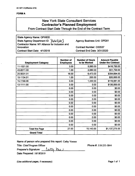#### FORMA

# New York State Consultant Services **Contractor's Planned Employment**

From Contract Start Date Through the End of the Contract Term

State Agency Name: OPWDD State Agency Department ID: 3660243 Contractor Name: NY Alliance for Inclusion and Innovation Contract Start Date: 4/1/2019

Agency Business Unit: OPD01

Contract Number: C00537 Contract End Date: 3/31/2020

| <b>Employment Category</b>          | <b>Number of</b><br><b>Employees</b> | <b>Number of Hours</b><br>to be Worked | <b>Amount Payable</b><br><b>Under the Contract</b> |
|-------------------------------------|--------------------------------------|----------------------------------------|----------------------------------------------------|
| 11-1021.00                          | 3.00                                 | 5,060.00                               | \$416,750.00                                       |
| 43-6011.00                          | 1.00                                 | 2,080.00                               | \$51,750.00                                        |
| 25-9031.01                          | 16.00                                | 6,473.00                               | \$394,694.00                                       |
| 15-1134.01                          | 1.00                                 | 200.00                                 | \$20,000.00                                        |
| 15-1199.06                          | 3.00                                 | 1,330.00                               | \$119,081.00                                       |
| 13-1111.00                          | 3.00                                 | 0.00                                   | \$135,000.00                                       |
|                                     | 0.00                                 | 0.00                                   | \$0.00                                             |
|                                     | 0.00                                 | 0.00                                   | \$0.00                                             |
|                                     | 0.00                                 | 0.00                                   | \$0.00                                             |
|                                     | 0.00                                 | 0.00                                   | \$0.00                                             |
| ٠                                   | 0.00                                 | 0.00                                   | \$0.00                                             |
|                                     | 0.00                                 | 0.00                                   | \$0.00                                             |
|                                     | 0.00                                 | 0.00                                   | \$0.00                                             |
|                                     | 0.00                                 | 0.00                                   | \$0.00                                             |
|                                     | 0.00                                 | 0.00                                   | \$0.00                                             |
|                                     | 0.00                                 | 0.00                                   | \$0.00                                             |
|                                     | 0.00                                 | 0.00                                   | \$0.00                                             |
| <b>Total this Page</b><br>$\lambda$ | 27.00                                | 15,143.00                              | \$1,137,275.00                                     |
| <b>Grand Total</b>                  |                                      |                                        |                                                    |

Name of person who prepared this report: Cathy Varano

<u>hu</u>

Title: Chief Program Officer

Phone #: 518-253-5844

Preparer's Signature: <u>loty</u>

Date Prepared: 10/18/2019

(Use additional pages, if necessary) example the state of the Page 1 of 1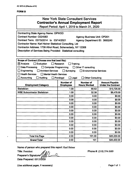## **FORM B**

| <b>New York State Consultant Services</b><br>Contractor's Annual Employment Report<br>Report Period: April 1, 2019 to March 31, 2020                                                                                                                                                                                                                                                                                                                |                                      |                                         |                                                    |
|-----------------------------------------------------------------------------------------------------------------------------------------------------------------------------------------------------------------------------------------------------------------------------------------------------------------------------------------------------------------------------------------------------------------------------------------------------|--------------------------------------|-----------------------------------------|----------------------------------------------------|
| <b>Contracting State Agency Name: OPWDD</b><br><b>Contract Number: C024583</b><br><b>Agency Business Unit: OPD01</b><br>Contract Term: 03/15/2014 to 03/14/2021<br>Agency Department ID: 3660243<br>Contractor Name: Karl Heiner Statistical Consulting, Ltd<br>Contractor Address: 1739 Athol Road, Schenectady, NY 12308<br>Description of Services Being Provided: Statistical consulting                                                        |                                      |                                         |                                                    |
| Scope of Contract (Choose one that best fits):<br>$\boxtimes$ Analysis<br>Evaluation<br><b>Research</b><br>Training<br>Data Processing<br>□ Computer Programming<br>$\Box$ Other IT consulting<br>Engineering<br><b>Architect Services</b><br>$\Box$ Surveying<br><b>Environmental Services</b><br><b>Health Services</b><br><b>Nental Health Services</b><br>Accounting<br>$\Box$ Auditing<br>$\Box$ Legal<br>Paralegal<br><b>Other Consulting</b> |                                      |                                         |                                                    |
| <b>Employment Category</b>                                                                                                                                                                                                                                                                                                                                                                                                                          | <b>Number of</b><br><b>Employees</b> | <b>Number of</b><br><b>Hours Worked</b> | <b>Amount Payable</b><br><b>Under the Contract</b> |
| <b>Statistician</b>                                                                                                                                                                                                                                                                                                                                                                                                                                 | 1.00                                 | 68.62                                   | \$13,725.00                                        |
| <b>WBE Subcontractor Statistician</b>                                                                                                                                                                                                                                                                                                                                                                                                               | 1.00                                 | 32.38                                   | \$6,475.00                                         |
|                                                                                                                                                                                                                                                                                                                                                                                                                                                     | 0.00                                 | 0.00                                    | \$0.00                                             |
|                                                                                                                                                                                                                                                                                                                                                                                                                                                     | 0.00                                 | 0.00                                    | \$0.00                                             |
|                                                                                                                                                                                                                                                                                                                                                                                                                                                     | 0.00                                 | 0.00                                    | \$0.00                                             |
|                                                                                                                                                                                                                                                                                                                                                                                                                                                     | 0.00                                 | 0.00                                    | \$0.00                                             |
|                                                                                                                                                                                                                                                                                                                                                                                                                                                     | 0.00                                 | 0.00                                    | \$0.00                                             |
|                                                                                                                                                                                                                                                                                                                                                                                                                                                     | 0.00                                 | 0.00                                    | \$0.00                                             |
|                                                                                                                                                                                                                                                                                                                                                                                                                                                     | 0.00                                 | 0.00                                    | \$0.00                                             |
| $\bullet$                                                                                                                                                                                                                                                                                                                                                                                                                                           | 0.00                                 | 0.00                                    | \$0.00                                             |
|                                                                                                                                                                                                                                                                                                                                                                                                                                                     | 0.00<br>0.00                         | 0.00<br>0.00                            | \$0.00<br>\$0.00                                   |
|                                                                                                                                                                                                                                                                                                                                                                                                                                                     | 0.00                                 | 0.00                                    | \$0.00                                             |
| <b>Total this Page</b>                                                                                                                                                                                                                                                                                                                                                                                                                              | 2.00                                 | 101.00                                  | \$20,200.00                                        |
| <b>Grand Total</b>                                                                                                                                                                                                                                                                                                                                                                                                                                  | 2.00                                 | 101                                     | \$20,200.00                                        |

Name of person who prepared this report: Karl Heiner

Title: President Preparer's Signature Date Prepared: 05/15/2020 Phone #: (518) 374-3689

(Use additional pages, if necessary) example 2 and 2 and 2 and 2 and 2 and 2 and 2 and 2 and 2 and 2 and 2 and 2 and 2 and 2 and 2 and 2 and 2 and 2 and 2 and 2 and 2 and 2 and 2 and 2 and 2 and 2 and 2 and 2 and 2 and 2 a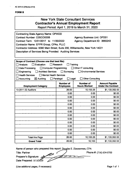# **FORMB**

| <b>New York State Consultant Services</b>    |  |
|----------------------------------------------|--|
| <b>Contractor's Annual Empioyment Report</b> |  |

Report Period: April 1.2019 to March 31, 2020

| <b>Contracting State Agency Name: OPWDD</b><br>Contract Number: C0SCO0006<br><b>Agency Business Unit: OPD01</b><br>Contract Term: 12/01/2017 to 11/30/2022<br>Agency Department ID: 3660243<br>Contractor Name: EFPR Group, CPAs, PLLC<br>Contractor Address: 6390 Main Street, Suite 200, Williamsville, New York 14221<br>Description of Services Being Provided: Auditing Services |                                                           |                                                                                             |                                                    |
|---------------------------------------------------------------------------------------------------------------------------------------------------------------------------------------------------------------------------------------------------------------------------------------------------------------------------------------------------------------------------------------|-----------------------------------------------------------|---------------------------------------------------------------------------------------------|----------------------------------------------------|
| Scope of Contract (Choose one that best fits):<br>Evaluation<br>Analysis<br>Data Processing<br>□ Computer Programming<br><b>Architect Services</b><br>Engineering<br><b>Health Services</b><br>Mental Health Services<br>Accounting<br>$\boxtimes$ Auditing                                                                                                                           | Research<br>$\Box$ Surveying<br>$\Box$ Legal<br>Paralegal | Training<br>Other IT consulting<br><b>Environmental Services</b><br><b>Other Consulting</b> |                                                    |
| <b>Employment Category</b>                                                                                                                                                                                                                                                                                                                                                            | <b>Number of</b><br><b>Employees</b>                      | <b>Number of</b><br><b>Hours Worked</b>                                                     | <b>Amount Payable</b><br><b>Under the Contract</b> |
| 13-2011.02 Auditors                                                                                                                                                                                                                                                                                                                                                                   | 26.00                                                     | 10,153.25                                                                                   | \$1,133,352.53                                     |
|                                                                                                                                                                                                                                                                                                                                                                                       | 0.00                                                      | 0.00                                                                                        | \$0.00                                             |
|                                                                                                                                                                                                                                                                                                                                                                                       | 0.00                                                      | 0.00                                                                                        | \$0.00                                             |
|                                                                                                                                                                                                                                                                                                                                                                                       | 0.00                                                      | 0.00                                                                                        | \$0.00                                             |
|                                                                                                                                                                                                                                                                                                                                                                                       | 0.00                                                      | 0.00                                                                                        | \$0.00                                             |
|                                                                                                                                                                                                                                                                                                                                                                                       | 0.00<br>ä,                                                | 0.00                                                                                        | \$0.00                                             |
|                                                                                                                                                                                                                                                                                                                                                                                       | 0.00                                                      | 0.00                                                                                        | \$0.00                                             |
|                                                                                                                                                                                                                                                                                                                                                                                       | 0.00                                                      | 0.00                                                                                        | \$0.00                                             |
|                                                                                                                                                                                                                                                                                                                                                                                       | 0.00                                                      | 0.00                                                                                        | \$0.00                                             |
|                                                                                                                                                                                                                                                                                                                                                                                       | 0.00                                                      | 0.00                                                                                        | \$0.00                                             |
|                                                                                                                                                                                                                                                                                                                                                                                       | 0.00                                                      | 0.00                                                                                        | \$0.00                                             |
|                                                                                                                                                                                                                                                                                                                                                                                       | 0.00                                                      | 0.00                                                                                        | \$0.00                                             |
|                                                                                                                                                                                                                                                                                                                                                                                       | 0.00                                                      | 0.00                                                                                        | \$0.00                                             |
| <b>Total this Page</b>                                                                                                                                                                                                                                                                                                                                                                | 26.00                                                     | 10,153.25                                                                                   | \$1,133,352.53                                     |
| <b>Grand Total</b>                                                                                                                                                                                                                                                                                                                                                                    | 26.00                                                     | 10,153                                                                                      | \$1,133,352.53                                     |

Name of person who prepared this report: Douglas E. Zimmerman, CPA

Title: **Partner** *^* **Preparer's Signature: Date Prepared: 5/15/2020** Phone #: (716) 634-0700

(Use additional pages, if necessary) example the contract of the Page 1 of 1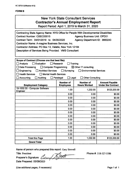# **FORM B**

# New York State Consultant Services **Contractor's Annual Employment Report**

Report Period: April 1,2019 to March 31, 2020

| Contracting State Agency Name: NYS Office for People With Developmental Disabilities<br>Contract Number: C0SCO0015<br><b>Agency Business Unit: OPD01</b><br>Contract Term: 04/01/2019 to 04/30/2020<br>Agency Department ID: 3660243<br>Contractor Name: A-magine Business Services, Inc.<br>Contractor Address: PO Box 13, Valatie, New York 12184<br>Description of Services Being Provided: VMS Consultant |                                                                             |                                                                                                         |                                                    |
|---------------------------------------------------------------------------------------------------------------------------------------------------------------------------------------------------------------------------------------------------------------------------------------------------------------------------------------------------------------------------------------------------------------|-----------------------------------------------------------------------------|---------------------------------------------------------------------------------------------------------|----------------------------------------------------|
| Scope of Contract (Choose one that best fits):<br>$\Box$ Analysis<br><b>Evaluation</b><br><b>Data Processing</b><br>$\Box$ Computer Programming<br>Engineering<br>Architect Services<br><b>Health Services</b><br>Mental Health Services<br>Accounting<br>Auditing                                                                                                                                            | $\Box$ Research<br>Surveying<br>$\perp$<br>$\Box$ Legal<br>$\Box$ Paralegal | Training<br>$\boxtimes$ Other IT consulting<br><b>Environmental Services</b><br><b>Other Consulting</b> |                                                    |
| <b>Employment Category</b>                                                                                                                                                                                                                                                                                                                                                                                    | <b>Number of</b><br><b>Employees</b>                                        | Number of<br><b>Hours Worked</b>                                                                        | <b>Amount Payable</b><br><b>Under the Contract</b> |
| 15-1032.00 - Computer Software<br>Engineer                                                                                                                                                                                                                                                                                                                                                                    | 1.00                                                                        | 1,232.00                                                                                                | \$123,200.00                                       |
|                                                                                                                                                                                                                                                                                                                                                                                                               | 0.00                                                                        | 0.00                                                                                                    | \$0.00                                             |
|                                                                                                                                                                                                                                                                                                                                                                                                               | 0.00                                                                        | 0.00                                                                                                    | \$0.00                                             |
|                                                                                                                                                                                                                                                                                                                                                                                                               | 0.00                                                                        | 0.00                                                                                                    | \$0.00                                             |
|                                                                                                                                                                                                                                                                                                                                                                                                               | 0.00                                                                        | 0.00                                                                                                    | \$0.00                                             |
|                                                                                                                                                                                                                                                                                                                                                                                                               | 0.00                                                                        | 0.00                                                                                                    | \$0.00                                             |
|                                                                                                                                                                                                                                                                                                                                                                                                               | 0.00                                                                        | 0.00                                                                                                    | \$0.00                                             |
|                                                                                                                                                                                                                                                                                                                                                                                                               | 0.00                                                                        | 0.00                                                                                                    | \$0.00                                             |
|                                                                                                                                                                                                                                                                                                                                                                                                               | 0.00                                                                        | 0.00                                                                                                    | \$0.00                                             |
|                                                                                                                                                                                                                                                                                                                                                                                                               | 0.00                                                                        | 0.00                                                                                                    | \$0.00                                             |
|                                                                                                                                                                                                                                                                                                                                                                                                               | 0.00                                                                        | 0.00                                                                                                    | \$0.00                                             |
|                                                                                                                                                                                                                                                                                                                                                                                                               | 0.00                                                                        | 0.00                                                                                                    | \$0.00                                             |
|                                                                                                                                                                                                                                                                                                                                                                                                               | 0.00                                                                        | 0.00                                                                                                    | \$0.00                                             |
| <b>Total this Page</b>                                                                                                                                                                                                                                                                                                                                                                                        | 1.00                                                                        | 1,232.00                                                                                                | \$123,200.00                                       |
| <b>Grand Total</b>                                                                                                                                                                                                                                                                                                                                                                                            |                                                                             |                                                                                                         |                                                    |

Name of person who prepared this report: Gary Strevell

Title: President

Preparer's Signature: / Date Prepared: 05/09/2020 /

Phone #: 518-527-5586

(Use additional pages, if necessary) example the state of the Page 1 of 1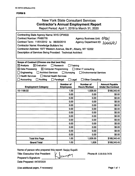# **FORMB**

|                                                                                                                                                                                                                                                                                                                                                                                        |                                                                 | <b>New York State Consultant Services</b><br><b>Contractor's Annual Employment Report</b><br>Report Period: April 1, 2019 to March 31, 2020 |                                                    |
|----------------------------------------------------------------------------------------------------------------------------------------------------------------------------------------------------------------------------------------------------------------------------------------------------------------------------------------------------------------------------------------|-----------------------------------------------------------------|---------------------------------------------------------------------------------------------------------------------------------------------|----------------------------------------------------|
| <b>Contracting State Agency Name: NYS OPWDD</b><br><b>Contract Number: PH65776</b><br>Agency Business Unit: 0PM (<br>Agency Department ID: 3Co(oOJY)<br>Contract Term: 11/01/2012 to 06/30/2019<br><b>Contractor Name: Knowledge Builders Inc.</b><br>Contractor Address: 1977 Western Avenue, Ste #1, Albany, NY 12202<br>Description of Services Being Provided: Technical Architect |                                                                 |                                                                                                                                             |                                                    |
| Scope of Contract (Choose one that best fits):<br>$\boxtimes$ Analysis<br>$\boxtimes$ Evaluation<br>$\boxtimes$ Data Processing<br>$\boxtimes$ Computer Programming<br>Engineering<br><b>Architect Services</b><br><b>Health Services</b><br>Mental Health Services<br>Accounting<br><b>Auditing</b><br>$\mathbf{1}$                                                                   | $\Box$ Research<br>Surveying<br>ΙI<br>Paralegal<br>$\Box$ Legal | Training<br>$\Box$ Other IT consulting<br><b>Environmental Services</b><br><b>Other Consulting</b>                                          |                                                    |
|                                                                                                                                                                                                                                                                                                                                                                                        | <b>Number of</b>                                                | <b>Number of</b>                                                                                                                            |                                                    |
| <b>Employment Category</b>                                                                                                                                                                                                                                                                                                                                                             | <b>Employees</b>                                                | <b>Hours Worked</b>                                                                                                                         | <b>Amount Payable</b><br><b>Under the Contract</b> |
| 15-1199.02                                                                                                                                                                                                                                                                                                                                                                             | 1.00                                                            | 1,828.00                                                                                                                                    | \$168,340.45                                       |
|                                                                                                                                                                                                                                                                                                                                                                                        | 0.00                                                            | 0.00                                                                                                                                        | \$0.00                                             |
|                                                                                                                                                                                                                                                                                                                                                                                        | 0.00                                                            | 0.00                                                                                                                                        | \$0.00                                             |
|                                                                                                                                                                                                                                                                                                                                                                                        | 0.00                                                            | 0.00                                                                                                                                        | \$0.00                                             |
|                                                                                                                                                                                                                                                                                                                                                                                        | 0.00                                                            | 0.00                                                                                                                                        | \$0.00                                             |
|                                                                                                                                                                                                                                                                                                                                                                                        | 0.00                                                            | 0.00                                                                                                                                        | \$0.00                                             |
|                                                                                                                                                                                                                                                                                                                                                                                        | 0.00                                                            | 0.00                                                                                                                                        | \$0.00                                             |
|                                                                                                                                                                                                                                                                                                                                                                                        | 0.00                                                            | 0.00                                                                                                                                        | \$0.00                                             |
|                                                                                                                                                                                                                                                                                                                                                                                        | 0.00                                                            | 0.00                                                                                                                                        | \$0.00                                             |
|                                                                                                                                                                                                                                                                                                                                                                                        | 0.00                                                            | 0.00                                                                                                                                        | \$0.00                                             |
|                                                                                                                                                                                                                                                                                                                                                                                        | 0.00                                                            | 0.00                                                                                                                                        | \$0.00                                             |
|                                                                                                                                                                                                                                                                                                                                                                                        | 0.00<br>0.00                                                    | 0.00<br>0.00                                                                                                                                | \$0.00<br>\$0.00                                   |
| <b>Total this Page</b>                                                                                                                                                                                                                                                                                                                                                                 | 1.00                                                            | 1,828.00                                                                                                                                    | \$168,340.45                                       |

Janvary

Name of person who prepared this report: Sanjay Kapalli

Title: Executive Vice President

Preparer's Signature:

Date Prepared: 04/30/2020

Phone #: 518-810-7478

(Use additional pages, if necessary) example 2 and 2 and 2 and 2 and 2 and 2 and 2 and 2 and 2 and 2 and 2 and 2 and 2 and 2 and 2 and 2 and 2 and 2 and 2 and 2 and 2 and 2 and 2 and 2 and 2 and 2 and 2 and 2 and 2 and 2 a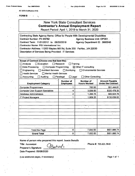• I

**AC 3272-S (Effective 4/12)**

|  |  | <b>FORM B</b> |  |  |
|--|--|---------------|--|--|
|--|--|---------------|--|--|

# New York State Consultant Services **Contractor's Annual Employment Report** Report Period; April 1, 2019 to March 31, 2020 **Contracting State Agency Name: Office for People With Developmental Disabilities Contract Number: PH 65782 Contract Term: 11/01/2012 to 06/30/2019 Contractor Name: PSI International Inc. Contractor Address: 11200 Waples Mill Rd, Suite 200 Fairfax. ,VA 22030 Description of Services Being Provided: IT Services Agency Business Unit: OPD01. . Agency Department ID: 3660243 Scope of Contract (Choose one that best fits):** ' □ Analysis . □ Evaluation □ Research □ Training □ Data Processing □ Computer Programming ■ X Other IT consulting □ Engineering □ Architect Services □ Surveying □ Environmental Services  $\Box$  Health Services Accounting Auditing Paralegal Legal Other Consulting **Mental Health Services Number of Employees Number of Hours Worked Amount Payable Employment Category** Computer Programmers 1 783.50 \$51,444.61 Computer User Support Specialists | 4 3,939.50 \$320,478.33 Database Administrators 1 2 1,299.75 \$99,924.78 IT Project Managers 1 1,909.25 | 5130,039.02 Total this Page 8 7,932.00 \$601,886.74 **Grand Total** • 8 7,932.00 \$601,886.74

**Name of person who prepared this report:** Jasmin Bertulfo

|  | Title: Accountant |
|--|-------------------|
|--|-------------------|

**Preparer's Signature:**

**Date Prepared: 05/08/2020**

(Use additional pages, if necessary) example 2 of 1 and 2 of 1 and 2 of 1 and 2 of 1 and 2 of 1 and 2 of 1 and 2 of 1 and 2 of 1 and 2 of 1 and 2 of 1 and 2 of 1 and 2 of 1 and 2 of 1 and 2 of 1 and 2 of 1 and 2 of 1 and 2

**Phone #:** 703.621.5849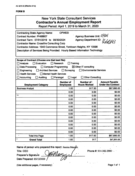# **FORM B**

| <b>New York State Consultant Services</b><br><b>Contractor's Annual Employment Report</b><br>Report Period: April 1, 2019 to March 31, 2020                                                                                                                                                                                                                                                                     |                                                           |                                                                                                         |                                                    |  |
|-----------------------------------------------------------------------------------------------------------------------------------------------------------------------------------------------------------------------------------------------------------------------------------------------------------------------------------------------------------------------------------------------------------------|-----------------------------------------------------------|---------------------------------------------------------------------------------------------------------|----------------------------------------------------|--|
| <b>OPWDD</b><br><b>Contracting State Agency Name:</b><br>Agency Business Unit: OPD0<br><b>Contract Number: PH68607</b><br>Agency Department ID: 3(100)43<br>Contract Term: 07/01/2019 to 06/30/2024<br><b>Contractor Name: Crossfire Consulting Corp</b><br>Contractor Address: 1940 Commerce Street, Yorktown Heights, NY 10598<br>Description of Services Being Provided: Hourly Based Information Technology |                                                           |                                                                                                         |                                                    |  |
| Scope of Contract (Choose one that best fits):<br>$\Box$ Analysis<br>Evaluation<br>$\Box$ Data Processing<br>□ Computer Programming<br>$\Box$ Engineering<br><b>Architect Services</b><br>$\Box$ Health Services<br><b>Mental Health Services</b><br>$\Box$ Accounting<br><b>Auditing</b>                                                                                                                       | Research<br>$\Box$ Surveying<br>$\Box$ Legal<br>Paralegal | Training<br>$\boxtimes$ Other IT consulting<br><b>Environmental Services</b><br><b>Other Consulting</b> |                                                    |  |
| <b>Employment Category</b>                                                                                                                                                                                                                                                                                                                                                                                      | <b>Number of</b><br><b>Employees</b>                      | Number of :-<br><b>Hours Worked</b>                                                                     | <b>Amount Payable</b><br><b>Under the Contract</b> |  |
| <b>Business Analyst</b>                                                                                                                                                                                                                                                                                                                                                                                         | 1.00                                                      | 917.50                                                                                                  | \$67,895.00                                        |  |
|                                                                                                                                                                                                                                                                                                                                                                                                                 | 0.00                                                      | 0.00                                                                                                    | \$0.00                                             |  |
|                                                                                                                                                                                                                                                                                                                                                                                                                 | 0.00                                                      | 0.00                                                                                                    | \$0.00                                             |  |
|                                                                                                                                                                                                                                                                                                                                                                                                                 | 0.00                                                      | 0.00                                                                                                    | \$0.00                                             |  |
|                                                                                                                                                                                                                                                                                                                                                                                                                 | 0.00                                                      | 0.00                                                                                                    | \$0.00                                             |  |
|                                                                                                                                                                                                                                                                                                                                                                                                                 | 0.00                                                      | 0.00                                                                                                    | \$0.00                                             |  |
|                                                                                                                                                                                                                                                                                                                                                                                                                 | 0.00                                                      | 0.00                                                                                                    | \$0.00                                             |  |
|                                                                                                                                                                                                                                                                                                                                                                                                                 | 0.00                                                      | 0.00                                                                                                    | \$0.00                                             |  |
|                                                                                                                                                                                                                                                                                                                                                                                                                 | 0.00                                                      | 0.00                                                                                                    | \$0.00                                             |  |
|                                                                                                                                                                                                                                                                                                                                                                                                                 | 0.00<br>0.00                                              | 0.00<br>0.00                                                                                            | \$0.00<br>\$0.00                                   |  |
|                                                                                                                                                                                                                                                                                                                                                                                                                 | 0.00                                                      | 0.00                                                                                                    | \$0.00                                             |  |
|                                                                                                                                                                                                                                                                                                                                                                                                                 | 0.00                                                      | 0.00                                                                                                    | \$0.00                                             |  |
|                                                                                                                                                                                                                                                                                                                                                                                                                 |                                                           |                                                                                                         |                                                    |  |
| <b>Total this Page</b>                                                                                                                                                                                                                                                                                                                                                                                          | 1.00                                                      | 917.50                                                                                                  | \$67,895.00                                        |  |

**Name of person who prepared this report:** Jessica Maz^"<

**Title: CEO** ^

**Preparer's Signature: \_\_ Date Prepared:** 05/12/2020 >7 **Phone** #: 914-302-2900 '-

(Use additional pages, if necessary) **Page 1 of 1** and 2 and 2 and 2 and 2 and 2 and 2 and 2 and 2 and 2 and 2 and 2 and 2 and 2 and 2 and 2 and 2 and 2 and 2 and 2 and 2 and 2 and 2 and 2 and 2 and 2 and 2 and 2 and 2 and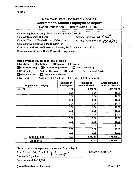# **FORMB**

| <b>New York State Consultant Services</b><br><b>Contractor's Annual Employment Report</b><br>Report Period: April 1, 2019 to March 31, 2020                                                                                                                                                                                                                                                                                                                             |                                      |                                         |                                                    |
|-------------------------------------------------------------------------------------------------------------------------------------------------------------------------------------------------------------------------------------------------------------------------------------------------------------------------------------------------------------------------------------------------------------------------------------------------------------------------|--------------------------------------|-----------------------------------------|----------------------------------------------------|
| <b>Contracting State Agency Name: New York State OPWDD</b><br>Agency Business Unit: OPDUI<br>Agency Department ID: 3666743<br><b>Contract Number: PH68613</b><br>Contract Term: 07/01/2019 to 06/30/2024<br><b>Contractor Name: Knowledge Builders Inc.</b><br>Contractor Address: 1977 Western Avenue, Ste #1, Albany, NY 12202<br><b>Description of Services Being Provided: Programmer</b>                                                                           |                                      |                                         |                                                    |
| Scope of Contract (Choose one that best fits):<br>$\boxtimes$ Evaluation<br>Research<br>$\boxtimes$ Analysis<br>Training<br>$\boxtimes$ Data Processing<br>$\boxtimes$ Computer Programming<br>$\Box$ Other IT consulting<br>Architect Services<br>$\Box$ Surveying<br><b>Environmental Services</b><br>Engineering<br><b>Health Services</b><br><b>Mental Health Services</b><br><b>Other Consulting</b><br>Accounting<br>Paralegal<br>$\Box$ Legal<br><b>Auditing</b> |                                      |                                         |                                                    |
| <b>Employment Category</b>                                                                                                                                                                                                                                                                                                                                                                                                                                              | <b>Number of</b><br><b>Employees</b> | <b>Number of</b><br><b>Hours Worked</b> | <b>Amount Payable</b><br><b>Under the Contract</b> |
| 15-1132                                                                                                                                                                                                                                                                                                                                                                                                                                                                 | 1.00                                 | 1,012.50                                | \$66,825.00                                        |
|                                                                                                                                                                                                                                                                                                                                                                                                                                                                         | 0.00                                 | 0.00                                    | \$0.00                                             |
|                                                                                                                                                                                                                                                                                                                                                                                                                                                                         | 0.00                                 | 0.00                                    | \$0.00                                             |
|                                                                                                                                                                                                                                                                                                                                                                                                                                                                         | 0.00                                 | 0.00                                    | \$0.00                                             |
|                                                                                                                                                                                                                                                                                                                                                                                                                                                                         | 0.00                                 | 0.00                                    |                                                    |
|                                                                                                                                                                                                                                                                                                                                                                                                                                                                         |                                      |                                         | \$0.00                                             |
|                                                                                                                                                                                                                                                                                                                                                                                                                                                                         | 0.00                                 | 0.00                                    | \$0.00                                             |
|                                                                                                                                                                                                                                                                                                                                                                                                                                                                         | 0.00                                 | 0.00                                    | \$0.00                                             |
|                                                                                                                                                                                                                                                                                                                                                                                                                                                                         | 0.00                                 | 0.00                                    | \$0.00                                             |
|                                                                                                                                                                                                                                                                                                                                                                                                                                                                         | 0.00                                 | 0.00                                    | \$0.00                                             |
|                                                                                                                                                                                                                                                                                                                                                                                                                                                                         | 0.00                                 | 0.00                                    | \$0.00                                             |
|                                                                                                                                                                                                                                                                                                                                                                                                                                                                         | 0.00                                 | 0.00                                    | \$0.00                                             |
|                                                                                                                                                                                                                                                                                                                                                                                                                                                                         | 0.00                                 | 0.00                                    | \$0.00                                             |
| <b>Total this Page</b>                                                                                                                                                                                                                                                                                                                                                                                                                                                  | 0.00<br>1.00                         | 0.00<br>1,012.50                        | \$0.00<br>\$66,825.00                              |

Name of person who prepared this report: Sanjay Kapalli

Title: Executive Vice President  $\bigcup_{\text{CovV}} \emptyset$ 

Preparer's Signature:

Date Prepared: 04/30/2020

Phone #: 518-810-7478

(Use additional pages, if necessary) example 2 and 2 and 2 and 2 and 2 and 2 and 2 and 2 and 2 and 2 and 2 and 2 and 2 and 2 and 2 and 2 and 2 and 2 and 2 and 2 and 2 and 2 and 2 and 2 and 2 and 2 and 2 and 2 and 2 and 2 a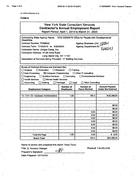**AC 3272-S (Effective 4/12)**

**FORM B** 

| <b>New York State Consultant Services</b>      |
|------------------------------------------------|
| <b>Contractor's Annual Employment Report</b>   |
| Report Period: April 1, 2019 to March 31, 2020 |

**Contracting State Agency Name: NYS OGS/NYS Office for People with Developmental Disabilities Contract Number: PH68632 Agency Business Unit:**

**Contract Term: 7/19/2019^ to 6/30/2024**

**Contractor Name: Unique Comp, Inc.**

**Contractor Address: 27-08 42nd Road**

**Long Island City. NY 11101**

**Description of Services Being Provided: IT Staffing Services**

**Scope of Contract (Choose one that best fits): ~ ,**

**Analysis Evaluation Research □■Training Data Processing IS Computer Programming Other IT consulting**

**Engineering Architect Services Surveying Environmental Services**

**Heaith Services Mental Health Services**

**Accounting Auditing Paralegal Legal Other Consulting**

| ٠<br><b>Employment Category</b>    | <b>Number of</b><br><b>Employees</b> | Number of<br><b>Hours Worked</b> | <b>Amount Payable</b><br><b>Under the Contract</b> |  |  |
|------------------------------------|--------------------------------------|----------------------------------|----------------------------------------------------|--|--|
|                                    |                                      |                                  |                                                    |  |  |
| 15-1141-00 Database Administrators | 1.00                                 | 784.5                            | \$60,288.83                                        |  |  |
|                                    |                                      |                                  |                                                    |  |  |
|                                    |                                      |                                  |                                                    |  |  |
|                                    |                                      |                                  | \$0.00                                             |  |  |
|                                    |                                      | 7.<br>٠                          | \$0.00                                             |  |  |
|                                    |                                      | 0.00                             | \$0.00                                             |  |  |
| ¥.                                 | $\bullet$                            | 0.00                             | \$0.00                                             |  |  |
|                                    |                                      | 0.00                             | \$0.00                                             |  |  |
|                                    |                                      | 0.00                             | \$0.00                                             |  |  |
|                                    |                                      | 0,00                             | \$0.00                                             |  |  |
|                                    |                                      | 0.00                             | \$0,00                                             |  |  |
|                                    |                                      | 0.00                             | \$0.00                                             |  |  |
| <b>Total this Page</b>             | 1.00                                 | 0.00                             | 0:00<br>\$                                         |  |  |
| <b>Grand Total</b>                 |                                      | 784.5                            | \$60,288.83                                        |  |  |

**Name of person who prepared this report: Diana Tacuri**

**Title: Sr. Resource Manager'**

**Preparer's Signature:** \_\_\_\_\_\_

**Date Prepared: 05/13/2020**

**Phone#: 718-392-5100**

**Agency Department ID:'^'**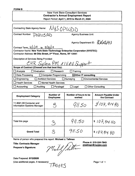#### **FORMS**

| New York State Consultant Services<br><b>Contractor's Annual Employment Report</b>     |  |  |  |
|----------------------------------------------------------------------------------------|--|--|--|
| Report Period: April 1, 2019 to March 31, 2020                                         |  |  |  |
|                                                                                        |  |  |  |
| NUSOPLUDD<br><b>Contracting State Agency Name:</b>                                     |  |  |  |
| Contract Number: PNZOSAD<br><b>Agency Business Unit:</b>                               |  |  |  |
| Agency Department ID: 3 (e CeO243                                                      |  |  |  |
| Contract Term: $4 1 19$ to $9 30 19$                                                   |  |  |  |
| Contractor Name: New York State Technology Enterprise Corporation (NYSTEC)             |  |  |  |
| Contractor Address: 99 Otis Street, 2 <sup>nd</sup> Floor, Rome, NY 13441              |  |  |  |
| <b>Description of Services Being Provided:</b>                                         |  |  |  |
| <u>EHR Sustem PM #IV #V Suppor</u>                                                     |  |  |  |
| Scope of Contract (Choose one that best fits):                                         |  |  |  |
| Evaluation<br>Research<br>Analysis<br>Training                                         |  |  |  |
| Data Processing<br><b>Computer Programming</b><br>$\boxtimes$ Other IT consulting      |  |  |  |
| <b>Architect Services</b><br>Engineering<br>Surveying<br><b>Environmental Services</b> |  |  |  |
| <b>Health Services</b><br>□ Mental Health Services                                     |  |  |  |
| <b>Auditing</b><br>Accounting<br>Paralegal<br><b>Other Consulting</b><br>Legal         |  |  |  |

| <b>Employment Category</b>                                    | Number of<br><b>Employees</b> | Number of hours to be<br>worked | <b>Amount Payable Under</b><br>the Contract |
|---------------------------------------------------------------|-------------------------------|---------------------------------|---------------------------------------------|
| 11-3021.00 Computer and<br><b>Information Systems Manager</b> |                               | 911.50                          | 9107,914.46                                 |
|                                                               |                               |                                 |                                             |
| Total this page                                               | $\infty$                      | 91,50                           | 18107,914.40                                |
| <b>Grand Total</b>                                            | Z                             | 91.50                           | 18107,914.40                                |

Name of person who prepared this report: **Michael J. Tallman**

**Title: Contracts Manager**

**Preparer's Signature:**

Michal Stalten

**Phone #: 315-334-7843 [mtallman@nvstec.com](mailto:mtallman@nvstec.com)**

Date Prepared: **5/12/2020**

(Use additional pages, if necessary)  $\overline{1 \text{ A}} 695$  Page 1 of 1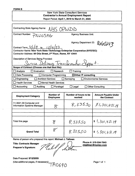## **FORMB**

# New York State Consultant Services **Contractor's Annual Employment Report** Report Period: **April 1, 2019 to March 31,2020**

| <b>Contracting State Agency Name:</b><br>VIAS CAMDD                                                                                                     |                                                               |  |  |  |
|---------------------------------------------------------------------------------------------------------------------------------------------------------|---------------------------------------------------------------|--|--|--|
| <b>Contract Number:</b><br>PNZOSAG                                                                                                                      | <b>Agency Business Unit:</b>                                  |  |  |  |
| Contract Term: $4/1/19$ to $12/31/23$ .                                                                                                                 | <b>Agency Department ID:</b><br><b><i><u>LeleO243</u></i></b> |  |  |  |
| Contractor Name: New York State Technology Enterprise Corporation (NYSTEC)<br>Contractor Address: 99 Otis Street, 2 <sup>nd</sup> Floor, Rome, NY 13441 |                                                               |  |  |  |
| <b>Description of Services Being Provided:</b><br>Service Delivery Transformation Import.                                                               |                                                               |  |  |  |
| Scope of Contract (Choose one that best fits):                                                                                                          |                                                               |  |  |  |
| Evaluation<br>Analysis<br>Research                                                                                                                      | Training                                                      |  |  |  |
| $\boxtimes$ Other IT consulting<br>Data Processing<br><b>Computer Programming</b>                                                                       |                                                               |  |  |  |
| Engineering<br><b>Architect Services</b><br>Surveying                                                                                                   | <b>Environmental Services</b>                                 |  |  |  |
| <b>Health Services</b><br><b>Mental Health Services</b>                                                                                                 |                                                               |  |  |  |
| <b>Auditing</b><br>Accounting<br>Paralegal<br>$\perp$                                                                                                   | <b>Other Consulting</b><br>Legal                              |  |  |  |

| <b>Employment Category</b>                                    | Number of<br><b>Employees</b> | Number of hours to be<br>worked | <b>Amount Payable Under</b><br>the Contract |
|---------------------------------------------------------------|-------------------------------|---------------------------------|---------------------------------------------|
| 11-3021.00 Computer and<br><b>Information Systems Manager</b> | $\approx$                     |                                 | $8,335.50$   $91,301,451.19$                |
|                                                               |                               |                                 |                                             |
| Total this page                                               |                               | 8,335.50                        | \$1,301,451.19                              |
| <b>Grand Total</b>                                            |                               | 8.33550                         | \$4,301,451.19                              |

Name of person who prepared this report: **Michael J. Tallman**

**Title: Contracts Manager Preparer's Signature:**

t tribi <u> N I</u>I

*rPi069o*

**Phone #: 315-334-7843 [mtallman@nvstec.com](mailto:mtallman@nvstec.com)**

Date Prepared: **5/12/2020**

(Use additional pages, if necessary)  $\rule{1em}{0.15mm}$  Page 1 of 1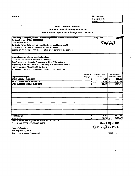|                                                                                                     | Category Code:      |                 |                           |        |
|-----------------------------------------------------------------------------------------------------|---------------------|-----------------|---------------------------|--------|
| <b>State Consultant Services</b>                                                                    |                     |                 |                           |        |
| <b>Contractor's Annual Employment Record</b><br>Report Period: April 1, 2019 through March 31, 2020 |                     |                 |                           |        |
|                                                                                                     |                     |                 |                           |        |
| Contracting State Agency Names: Office of People with Developmental Disabilities                    | <b>Agency Code:</b> |                 |                           |        |
| Contract Number: OPD01-0000086315                                                                   |                     |                 |                           |        |
| Contract Term: N/A                                                                                  |                     |                 | 3660243                   |        |
| Contractor Name: Delta Engineers, Architects, and Land Surveyors, PC                                |                     |                 |                           |        |
| Contractor Address: 860 Hooper Road Endwell, NY 13760                                               |                     |                 |                           |        |
| Description of Services Being Provided: Silver Creek Generator Replacement                          |                     |                 |                           |        |
| Scope of Contract (Choose one that best fits):                                                      |                     |                 |                           |        |
| Analysis a Evaluation a Research a Training a                                                       |                     |                 |                           |        |
| Data Processing a Computer Programing a Other IT Consulting a                                       |                     |                 |                           |        |
| Engineering Architect Services a Surveying a Environmental Services a                               |                     |                 |                           |        |
| Health Services a Mental Health Services a                                                          |                     |                 |                           |        |
| Accounting a Auditing a Paralegal a Legal a Other Consulting a                                      |                     |                 |                           |        |
|                                                                                                     |                     |                 |                           |        |
|                                                                                                     | Number of           | Number of hours | Amount Payable            |        |
| <b>Employment Category</b>                                                                          | <b>Employees</b>    | worked          | <b>Under the Contract</b> |        |
| 17-2051.00 CIVIL ENGINEERS                                                                          | 2                   | 4.00            | -\$                       | 300.82 |
| 17-2071.00 ELECTRICAL ENGINEERS                                                                     | 4                   | $15.25$ 5       | 1,281.80                  |        |
| 17-2141.00 MECHANICAL ENGINEERS                                                                     | 2                   | $11.50$   S     | 1,094.75                  |        |
|                                                                                                     |                     |                 |                           |        |
|                                                                                                     |                     |                 |                           |        |
|                                                                                                     |                     |                 |                           |        |
|                                                                                                     |                     |                 |                           |        |
|                                                                                                     |                     |                 |                           |        |
|                                                                                                     |                     |                 |                           |        |
|                                                                                                     |                     |                 |                           |        |
|                                                                                                     |                     |                 |                           |        |
|                                                                                                     |                     |                 |                           |        |
|                                                                                                     |                     |                 |                           |        |
|                                                                                                     |                     |                 |                           |        |
|                                                                                                     |                     |                 |                           |        |
| Total this page                                                                                     | 8                   | 30.75 l         | 2,677.37<br>۱Ŝ            |        |
| <b>Grand Total</b><br>$\overline{a}$<br>. .                                                         | 8                   | 30.75           | Ŝ<br>2,677.37             |        |

Name of person who prepared this report: KELCIE J. GUCCIA Title: HUMAN RESOURCES COORDINATOR **Phone #: 607-231-6657** 

Kercio Ducca

**OSC Use Only:** Reporting Code:

Preparer's Signature: Date Prepared: 5/1/2020 (Use additional pages, if necessary) example  $P$  and  $P$  and  $P$  are  $P$  of  $P$  and  $P$  are  $P$  of  $P$  and  $P$  are  $P$  of  $P$  and  $P$  are  $P$  are  $P$  and  $P$  are  $P$  are  $P$  are  $P$  are  $P$  are  $P$  and  $P$  are  $P$  are  $P$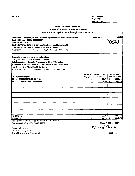| <b>State Consultant Services</b><br><b>Contractor's Annual Employment Record</b>                                      |                  |                        |                           |                                                     |
|-----------------------------------------------------------------------------------------------------------------------|------------------|------------------------|---------------------------|-----------------------------------------------------|
|                                                                                                                       |                  |                        |                           | Report Period: April 1, 2019 through March 31, 2020 |
|                                                                                                                       |                  | <b>Agency Code:</b>    |                           |                                                     |
| Contracting State Agency Names: Office of People with Developmental Disabilities<br>Contract Number: OPD01-0000086187 |                  |                        | 3000743                   |                                                     |
| Contract Term: N/A                                                                                                    |                  |                        |                           |                                                     |
| Contractor Name: Delta Engineers, Architects, and Land Surveyors, PC                                                  |                  |                        |                           |                                                     |
| Contractor Address: 860 Hooper Road Endwell, NY 13760                                                                 |                  |                        |                           |                                                     |
| Description of Services Being Provided: Dayton Generator Replacement                                                  |                  |                        |                           |                                                     |
| Scope of Contract (Choose one that best fits):                                                                        |                  |                        |                           |                                                     |
| Analysis a Evaluation a Research o Training a                                                                         |                  |                        |                           |                                                     |
| Data Processing a Computer Programing a Other IT Consulting a                                                         |                  |                        |                           |                                                     |
| Engineering a Architect Services a Surveying a Environmental Services a                                               |                  |                        |                           |                                                     |
| Health Services o Mental Health Services o                                                                            |                  |                        |                           |                                                     |
| Accounting a Auditing a Paralegal a Legal a Other Consulting a                                                        |                  |                        |                           |                                                     |
|                                                                                                                       | Number of        | <b>Number of hours</b> | Amount Payable            |                                                     |
| <b>Employment Category</b>                                                                                            | <b>Employees</b> | worked                 | <b>Under the Contract</b> |                                                     |
| 17-2071.00 ELECTRICAL ENGINEERS                                                                                       |                  | 15.75                  | Ŝ<br>1,312.66             |                                                     |
| 17-2141.00 MECHANICAL ENGINEERS                                                                                       |                  | 6.50                   | \$<br>490.10              |                                                     |
|                                                                                                                       |                  |                        |                           |                                                     |
|                                                                                                                       |                  |                        |                           |                                                     |
|                                                                                                                       |                  |                        |                           |                                                     |
|                                                                                                                       |                  |                        |                           |                                                     |
|                                                                                                                       |                  |                        |                           |                                                     |
|                                                                                                                       |                  |                        |                           |                                                     |
|                                                                                                                       |                  |                        |                           |                                                     |
|                                                                                                                       |                  |                        |                           |                                                     |
|                                                                                                                       |                  |                        |                           |                                                     |
|                                                                                                                       |                  |                        |                           |                                                     |
|                                                                                                                       |                  |                        |                           |                                                     |
|                                                                                                                       |                  |                        |                           |                                                     |
|                                                                                                                       |                  |                        |                           |                                                     |
| Total this page                                                                                                       | 5                | 22.25                  | 1,802.76<br>۱s            |                                                     |
| <b>Grand Total</b>                                                                                                    | 5                | 22.25                  | ŝ<br>1,802.76             |                                                     |

Name of person who prepared this report: KELCIE J. GUCCIA Title: HUMAN RESOURCES COORDINATOR **Phone #: 607-231-6657** 

Kekieb Ducca

Preparer's Signature:  $\sim 10$ Date Prepared: 5/1/2020 (Use additional pages, if necessary) example and the example of the example of the Page 1 of 1

 $\ddot{\phantom{0}}$ 

 $\Delta \sim$ 

 $\epsilon$ 

**FORM B OSC** Use Only: Reporting Code: Category Code: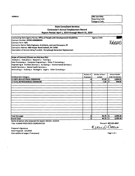**State Consultant Services Contractor's Annual Employment Record Report Period: April 1,2019 through March 31,2020** Contracting State Agency Contract Number; **OPDOl-0000086304** Names: **Office of People with Developmental Disabilities** *m* Contract Term: **N/A** Contractor Name: **Delta Engineers, Architects, and Land Surveyors, PC** Contractor Address: **860 Hooper Road Endwell, NY 13760** Description of Services Being Provided: **Perrysburgh Generator Replacement** Agency Code: **Scope of Contract (Choose one that best fits);** Analysis **a** Evaluation **a** Research **a** Training **a** Data Processing a Computer Programing a Other IT Consulting a Engineering  $\blacksquare$  Architect Services  $\square$  Surveying  $\square$  Environmental Services  $\square$ Health Services n Mental Health Services n  $|$ Accounting  $\Box$  Auditing  $\Box$  Paralegal  $\Box$  Legal  $\Box$  Other Consulting  $\Box$ **Number of Employees Number of hours worked Amount Payable** Employment Category **Under the Contract Under the Contract Under the Contract Under the Contract 17-2071.00 ELECTRICAL ENGINEERS 1 27.50 5 2,046.53**<br>**17-2141.00** MECHANICAL ENGINEERS **1 27.25 5 546.65 17-2141.00 MECHANICAL ENGINEERS 1 7.25 \$ 546.65** Total this page **5 34.75 \$ 2,593.18** Grand Total **5 34.75 \$ 2,593.18** Name of person who prepared this report: KELCIE J. GUCCIA

Title: HUMAN RESOURCES COORDINATOR Phone#: **607-231-6657**

Kekie بمدمهماا

**OSC Use Only:** Reporting Code: Category Code:

Preparer's Signature: Date Prepared: 5/1/2020 (Use additional pages, if necessary) examples and the set of 1 set of 1 set of 1 set of 1 set of 1 set of 1 set of 1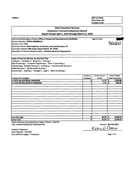**State Consultant Services Contractor's Annual Employment Record Report Period: April 1,2019 through March 31,2020** Contracting State Agency Names: **Office of People with Developmental Disabilities** Contract Number: **OPDOl-0000086116** Contract Term: **N/A** Contractor Name: **Delta Engineers, Architects, and Land Surveyors, PC** Contractor Address: **860 Hooper Road Endwell, NY 13760** Agency Code: *Mtmy* **Scope of Contract (Choose one that best fits):** Analysis  $\Box$  Evaluation  $\Box$  Research  $\Box$  Training  $\Box$ Data Processing  $\Box$  Computer Programing  $\Box$  Other IT Consulting  $\Box$ Engineering **a** Architect Services  $\Box$  Surveying  $\Box$  Environmental Services  $\Box$ Health Services a Mental Health Services a Accounting  $\Box$  Auditing  $\Box$  Paralegal  $\Box$  Legal  $\Box$  Other Consulting  $\Box$ **Number of hours worked Amount Payable Under the Contract Number of** Employment Category **Employees 17-2071.00 ELECTRICAL ENGINEERS 3 17.75 \$ 1,493.88 17-2141.00 MECHANICAL ENGINEERS 1 7.75 \$ S84.35** Total **this** page **4 25.50 \$ 2,078.23** Grand Total **25.504 \$ 2,078.23**

Name of person who prepared this report: KELCIE J. GUCCIA Title: HUMAN RESOURCES COORDINATOR Phone #: **607-231-6657**

Preparer's Signature: Date Prepared: S/1/2020 (Use additional pages, if necessary) Page <sup>1</sup> of <sup>1</sup>

Kekich Dera

**OSC Use Only:** Reporting Code: Category Code:

Description of Services Being Provided: **Lakeview Generator Replacement**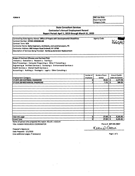**State Consultant Services Contractor's Annual Employment Record Report Period: April 1,2019 through March 31, 2020** Contracting State Agency Names; **Office of People with Developmental Disabilities** Agency Code: Contract Number: **OPDOi-0000086188**  $366044$ Contract Term; **N/A** Contractor Name: **Delta Engineers, Architects, and Land Surveyors, PC** Contractor Address; **860 Hooper Road Endwell, NY 13760** Description of Services Being Provided: **Hamburg Generator Replacement Scope of Contract (Choose one that best fits):** Analysis **p** Evaluation **p** Research **p** Training **p** Data Processing  $\Box$  Computer Programing  $\Box$  Other IT Consulting  $\Box$ **Engineering a** Architect Services **a** Surveying a Environmental Services a Health Services D Mental Health Services D Accounting  $\Box$  Auditing  $\Box$  Paralegal  $\Box$  Legal  $\Box$  Other Consulting  $\Box$ **Number of Number of hours Amount Payable** Employment Category **worked**<br>17-2071.00 ELECTRICAL ENGINEERS **WORKERS WORKED ALL ASSESS Employees Under the Contract 17-2071.00 ELECTRICAL ENGINEERS** 4 **19.25 \$ 1,577.46 17-2141.00 MECHANICAL ENGINEERS 1 7.75 \$ 584.35** Total this page **5 27.00 \$ 2,161.81** Grand Total **5 27.00 \$ 2,161.81** Name of person who prepared this report: KELCIE J. GUCCIA

Title: HUMAN RESOURCES COORDINATOR Phone#: **607-231-6657**

Preparer's Signature: Date Prepared: S/1/2020 (Use additional pages, If necessary) Page <sup>1</sup> of <sup>1</sup>

Kekick Diocea

**OSC Use Only:** Reporting Code; Category Code: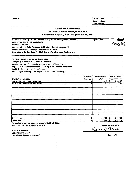**OSC Use Only:** Reporting Code: Category Code:

# **State Consultant Services Contractor's Annual Employment Record Report Period: April 1,2019 through March 31, 2020**

**3660H Contracting State Agency Names: Office of People with Developmental Disabilities Agency Code:** Contract Number; **OPOOl-0000086184** Contract Term: **N/A** Contractor Name: **Delta Engineers, Architects, and Land Surveyors, PC** Contractor Address: **860 Hooper Road Endwell, NY 13760** Description of Services Being Provided: **Orchard Park Generator Replacement Scope of Contract (Choose one that best fits):** Analysis D Evaluation **a** Research o Training d Data Processing  $\Box$  Computer Programing  $\Box$  Other IT Consulting  $\Box$ Engineering **Architect Services**  $\Box$  Surveying  $\Box$  Environmental Services  $\Box$ Health Services D Mental Health Services D Accounting  $\Box$  Auditing  $\Box$  Paralegal  $\Box$  Legal  $\Box$  Other Consulting  $\Box$ **Number of Employees Number of hours worked Amount Payable** Employment Category **Theory Under the Contract 17-2071.00 ELEaRICAL ENGINEERS 3 24.S0 \$ 1,976.76 17-2141.00 MECHANICAL ENGINEERS 1 6.25 s 471.25** Total this page 4 **30.75 \$ 2,448.01** Grand Total 4 **30.75 \$ 2,448.01**

Name of person who prepared this report: KELCIE J. GUCCIA Title: HUMAN RESOURCES COORDINATOR **Phone #: 607-231-6657**

Date Prepared: 5/1/20 (Use additional pages, if necessary) **Page <sup>1</sup> of <sup>1</sup>**

Preparer's Signature: Allecue d'Alecue d'Alecue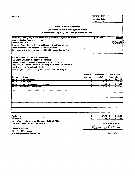**FORM B OSC** Use Only: Reporting Code: Category Code:

# **State Consultant Services Contractor's Annual Employment Record Report Period: April 1,2019 through March 31, 2020**

Contracting State Agency Names: **Office of People with Developmental Disabilities** Contract Number: **OPDOl-0000030374** Contract Term: **N/A** Contractor Name: **Deita Engineers, Architects, and Land Surveyors, PC** Contractor Address: **860 Hooper Road Endweli, NY 13760** Description of Services Being Provided: **DDSO10 Prospect St Little Falls** Agency Code: **Scope of Contract (Choose one that best fits):** Analysis D Evaluation D Research D Training D Data Processing a Computer Programing a Other IT Consulting a Engineering  $\blacksquare$  Architect Services  $\Box$  Surveying  $\Box$  Environmental Services  $\Box$ Health Services a Mental Health Services a Accounting  $\Box$  Auditing  $\Box$  Paralegal  $\Box$  Legal  $\Box$  Other Consulting  $\Box$ **Amount Payable Under the Contract Number of Employees Number of hours** Employment Category **worked 17-205i:00 CIVIL ENGINEERS** 2 **13.00 \$ 1,823.1S 17-1022.00 SURVEYORS 1 0.S0 \$ SS.95 17-3022.00 CIVIL ENGINEERING TECHNICIANS 1 29.25 \$ 1,791.08 17-3031.01 SURVEYING TECHNICIANS 2 15.00 \$ 1,585.40**

Total this page 6 **57.75 \$ 5,255.58**

Grand Total 6 **57.75 \$ 5,255.58** Name of *person* who prepared this *report:* KELCIE J. GUCCiA Title: HUMAN RESOURCES COORDINATOR Phone#: **607-231-6657**

Keri  $Mrla$ 

*Preparer's* Signature: Date Prepared: 5/1/2020 (Use additional pages, if necessary) examples and the set of 1 set of 1 set of 1 set of 1 set of 1 set of 1 set of 1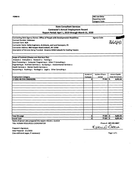**State Consultant Services Contractor's Annual Employment Record Report Period: April 1, 2019 through March 31,2020** Contracting State Agency Names: Office of People with Developmental Disabilities Agency Code: **Agency Code:** *Supportant Number: Unknown*<br>
Contract Term: N/A *Supportant Term: N/A* Contract Number: **Unknown** Contract Term: **N/A** Contractor Name: **Delta Engineers, Architects, and Land Surveyors, PC** Contractor Address: **860 Hooper Road Endwell, NY 13760** Description of Services Being Provided: **Broome DDSO Catwalk for Cooling Towers Scope of Contract (Choose one that best fits):** Analysis **o** Evaluation **D** Research **D** Training **o** Data Processing **a** Computer Programing **a** Other IT Consulting Engineering **a** Architect Services  $\Box$  Surveying  $\Box$  Environmental Services  $\Box$ Health Services o Mental Health Services o Accounting  $\Box$  Auditing  $\Box$  Paralegal  $\Box$  Legal  $\Box$  Other Consulting  $\Box$ **Number of Employees Number of hours worked Amount Payable** Employment Category **Under the Contract 17-2051.00 CIVIL ENGINEERS 3 77.00 \$ 6,651.61** Total this page **3 77.00 \$ 6,651.61** Grand Total **3 77.00 \$ 6,651.61**

Name of person who prepared this report: KELCiE J. GUCCiA Title: HUMAN RESOURCES COORDINATOR Phone #: **607-231-6657**

Keki  $IDP12$ 

**OSC Use Only:** Reporting Code: Category Code:

Preparer's Signature: Date Prepared: 5/1/2020 (Use additional pages, if necessary) examples and the example of 1 of 1 page 1 of 1